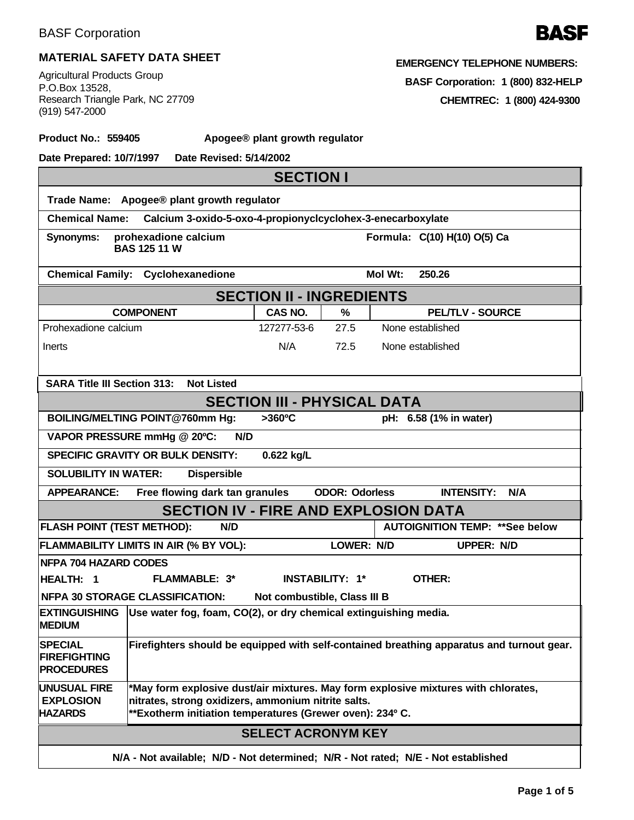

## **MATERIAL SAFETY DATA SHEET**

Agricultural Products Group P.O.Box 13528, Research Triangle Park, NC 27709 (919) 547-2000

| EMERGENCY TELEPHONE NUMBERS: |
|------------------------------|
|------------------------------|

**BASF Corporation: 1 (800) 832-HELP**

**CHEMTREC: 1 (800) 424-9300**

**Product No.: 559405 Apogee® plant growth regulator**

**Date Prepared: 10/7/1997 Date Revised: 5/14/2002**

| <b>SECTION I</b>                                                                                                                                        |                                                                                                                                                                                                        |                           |                       |                              |                                        |  |  |  |
|---------------------------------------------------------------------------------------------------------------------------------------------------------|--------------------------------------------------------------------------------------------------------------------------------------------------------------------------------------------------------|---------------------------|-----------------------|------------------------------|----------------------------------------|--|--|--|
| Trade Name: Apogee® plant growth regulator                                                                                                              |                                                                                                                                                                                                        |                           |                       |                              |                                        |  |  |  |
| <b>Chemical Name:</b><br>Calcium 3-oxido-5-oxo-4-propionyclcyclohex-3-enecarboxylate                                                                    |                                                                                                                                                                                                        |                           |                       |                              |                                        |  |  |  |
| <b>Synonyms:</b>                                                                                                                                        | prohexadione calcium<br><b>BAS 125 11 W</b>                                                                                                                                                            |                           |                       | Formula: C(10) H(10) O(5) Ca |                                        |  |  |  |
|                                                                                                                                                         | <b>Chemical Family: Cyclohexanedione</b>                                                                                                                                                               |                           |                       | Mol Wt:<br>250.26            |                                        |  |  |  |
| <b>SECTION II - INGREDIENTS</b>                                                                                                                         |                                                                                                                                                                                                        |                           |                       |                              |                                        |  |  |  |
|                                                                                                                                                         | <b>COMPONENT</b>                                                                                                                                                                                       | CAS NO.                   | %                     |                              | <b>PELTLV - SOURCE</b>                 |  |  |  |
| Prohexadione calcium                                                                                                                                    |                                                                                                                                                                                                        | 127277-53-6               | 27.5                  | None established             |                                        |  |  |  |
| Inerts                                                                                                                                                  |                                                                                                                                                                                                        | N/A                       | 72.5                  | None established             |                                        |  |  |  |
|                                                                                                                                                         |                                                                                                                                                                                                        |                           |                       |                              |                                        |  |  |  |
| <b>SARA Title III Section 313:</b>                                                                                                                      | <b>Not Listed</b>                                                                                                                                                                                      |                           |                       |                              |                                        |  |  |  |
| <b>SECTION III - PHYSICAL DATA</b>                                                                                                                      |                                                                                                                                                                                                        |                           |                       |                              |                                        |  |  |  |
|                                                                                                                                                         | BOILING/MELTING POINT@760mm Hg:                                                                                                                                                                        | >360°C                    |                       | pH: 6.58 (1% in water)       |                                        |  |  |  |
|                                                                                                                                                         | VAPOR PRESSURE mmHg @ 20°C:<br>N/D                                                                                                                                                                     |                           |                       |                              |                                        |  |  |  |
|                                                                                                                                                         | SPECIFIC GRAVITY OR BULK DENSITY:                                                                                                                                                                      | 0.622 kg/L                |                       |                              |                                        |  |  |  |
| <b>SOLUBILITY IN WATER:</b>                                                                                                                             | <b>Dispersible</b>                                                                                                                                                                                     |                           |                       |                              |                                        |  |  |  |
| <b>APPEARANCE:</b>                                                                                                                                      | Free flowing dark tan granules                                                                                                                                                                         |                           | <b>ODOR: Odorless</b> |                              | <b>INTENSITY:</b><br>N/A               |  |  |  |
|                                                                                                                                                         | <b>SECTION IV - FIRE AND EXPLOSION DATA</b>                                                                                                                                                            |                           |                       |                              |                                        |  |  |  |
| <b>FLASH POINT (TEST METHOD):</b>                                                                                                                       | N/D                                                                                                                                                                                                    |                           |                       |                              | <b>AUTOIGNITION TEMP: ** See below</b> |  |  |  |
|                                                                                                                                                         | FLAMMABILITY LIMITS IN AIR (% BY VOL):                                                                                                                                                                 |                           | LOWER: N/D            |                              | <b>UPPER: N/D</b>                      |  |  |  |
| <b>NFPA 704 HAZARD CODES</b>                                                                                                                            |                                                                                                                                                                                                        |                           |                       |                              |                                        |  |  |  |
| <b>HEALTH: 1</b>                                                                                                                                        | FLAMMABLE: 3*                                                                                                                                                                                          | <b>INSTABILITY: 1*</b>    |                       | OTHER:                       |                                        |  |  |  |
| <b>NFPA 30 STORAGE CLASSIFICATION:</b><br>Not combustible, Class III B                                                                                  |                                                                                                                                                                                                        |                           |                       |                              |                                        |  |  |  |
| Use water fog, foam, CO(2), or dry chemical extinguishing media.<br><b>EXTINGUISHING</b><br><b>MEDIUM</b>                                               |                                                                                                                                                                                                        |                           |                       |                              |                                        |  |  |  |
| Firefighters should be equipped with self-contained breathing apparatus and turnout gear.<br><b>SPECIAL</b><br><b>FIREFIGHTING</b><br><b>PROCEDURES</b> |                                                                                                                                                                                                        |                           |                       |                              |                                        |  |  |  |
| <b>UNUSUAL FIRE</b><br><b>EXPLOSION</b><br><b>HAZARDS</b>                                                                                               | *May form explosive dust/air mixtures. May form explosive mixtures with chlorates,<br>nitrates, strong oxidizers, ammonium nitrite salts.<br>**Exotherm initiation temperatures (Grewer oven): 234º C. |                           |                       |                              |                                        |  |  |  |
|                                                                                                                                                         |                                                                                                                                                                                                        | <b>SELECT ACRONYM KEY</b> |                       |                              |                                        |  |  |  |
| N/A - Not available; N/D - Not determined; N/R - Not rated; N/E - Not established                                                                       |                                                                                                                                                                                                        |                           |                       |                              |                                        |  |  |  |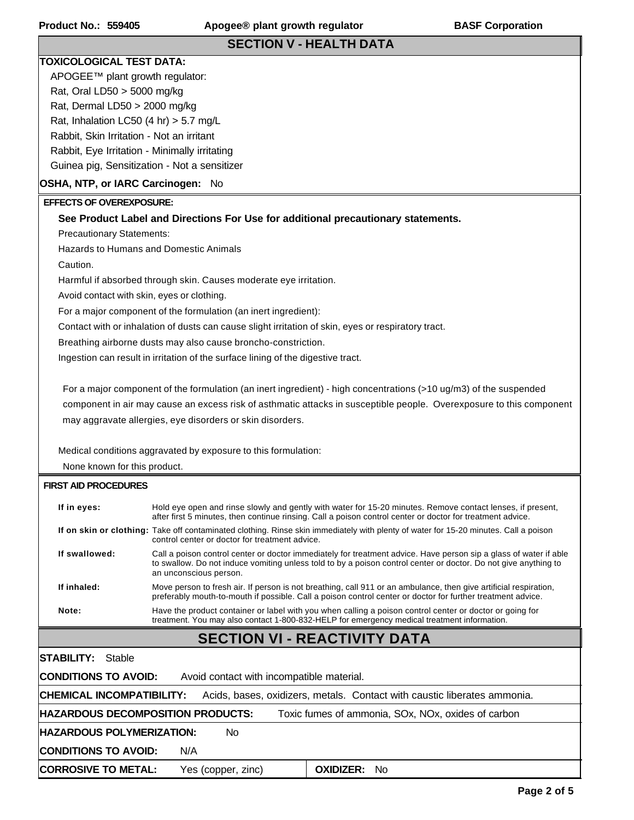## **SECTION V - HEALTH DATA**

### **TOXICOLOGICAL TEST DATA:**

APOGEE™ plant growth regulator: Rat, Oral LD50 > 5000 mg/kg Rat, Dermal LD50 > 2000 mg/kg Rat, Inhalation LC50  $(4 \text{ hr})$  > 5.7 mg/L Rabbit, Skin Irritation - Not an irritant Rabbit, Eye Irritation - Minimally irritating Guinea pig, Sensitization - Not a sensitizer

### **OSHA, NTP, or IARC Carcinogen:** No

### **EFFECTS OF OVEREXPOSURE:**

#### **See Product Label and Directions For Use for additional precautionary statements.**

Precautionary Statements:

Hazards to Humans and Domestic Animals

Caution.

Harmful if absorbed through skin. Causes moderate eye irritation.

Avoid contact with skin, eyes or clothing.

For a major component of the formulation (an inert ingredient):

Contact with or inhalation of dusts can cause slight irritation of skin, eyes or respiratory tract.

Breathing airborne dusts may also cause broncho-constriction.

Ingestion can result in irritation of the surface lining of the digestive tract.

 For a major component of the formulation (an inert ingredient) - high concentrations (>10 ug/m3) of the suspended component in air may cause an excess risk of asthmatic attacks in susceptible people. Overexposure to this component may aggravate allergies, eye disorders or skin disorders.

Medical conditions aggravated by exposure to this formulation:

None known for this product.

#### **FIRST AID PROCEDURES**

| If in eyes:   | Hold eye open and rinse slowly and gently with water for 15-20 minutes. Remove contact lenses, if present,<br>after first 5 minutes, then continue rinsing. Call a poison control center or doctor for treatment advice.                                       |
|---------------|----------------------------------------------------------------------------------------------------------------------------------------------------------------------------------------------------------------------------------------------------------------|
|               | If on skin or clothing: Take off contaminated clothing. Rinse skin immediately with plenty of water for 15-20 minutes. Call a poison<br>control center or doctor for treatment advice.                                                                         |
| If swallowed: | Call a poison control center or doctor immediately for treatment advice. Have person sip a glass of water if able<br>to swallow. Do not induce vomiting unless told to by a poison control center or doctor. Do not give anything to<br>an unconscious person. |
| If inhaled:   | Move person to fresh air. If person is not breathing, call 911 or an ambulance, then give artificial respiration,<br>preferably mouth-to-mouth if possible. Call a poison control center or doctor for further treatment advice.                               |
| Note:         | Have the product container or label with you when calling a poison control center or doctor or going for<br>treatment. You may also contact 1-800-832-HELP for emergency medical treatment information.                                                        |

# **SECTION VI - REACTIVITY DATA**

**CONDITIONS TO AVOID:** Avoid contact with incompatible material. **CHEMICAL INCOMPATIBILITY:** Acids, bases, oxidizers, metals. Contact with caustic liberates ammonia. **HAZARDOUS DECOMPOSITION PRODUCTS:** Toxic fumes of ammonia, SOx, NOx, oxides of carbon **HAZARDOUS POLYMERIZATION:** No **CONDITIONS TO AVOID:** N/A **CORROSIVE TO METAL:** Yes (copper, zinc) **OXIDIZER:** No **STABILITY:** Stable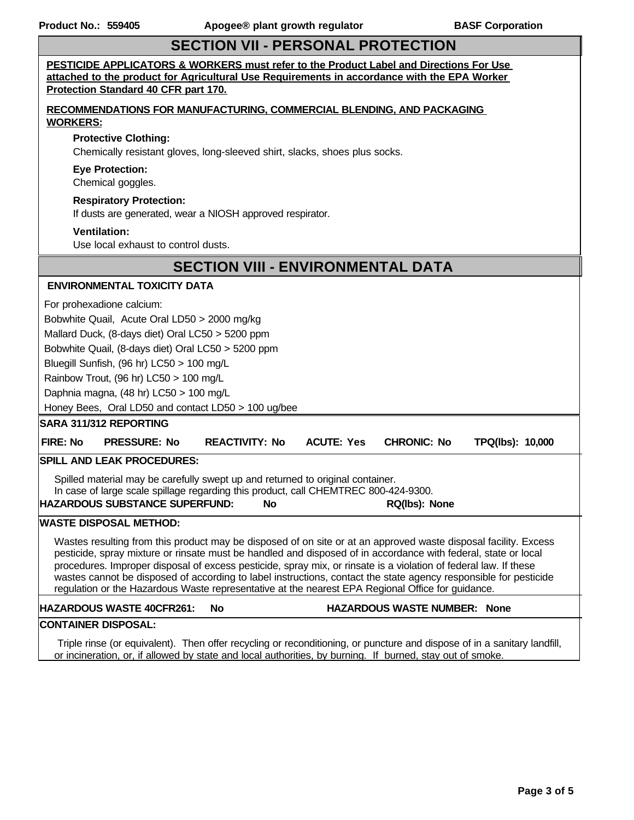# **SECTION VII - PERSONAL PROTECTION**

| PESTICIDE APPLICATORS & WORKERS must refer to the Product Label and Directions For Use<br>attached to the product for Agricultural Use Requirements in accordance with the EPA Worker<br>Protection Standard 40 CFR part 170.                                                                                                                                                                                                                                                                                                                                                                                                                                                                                                                         |  |  |  |  |  |
|-------------------------------------------------------------------------------------------------------------------------------------------------------------------------------------------------------------------------------------------------------------------------------------------------------------------------------------------------------------------------------------------------------------------------------------------------------------------------------------------------------------------------------------------------------------------------------------------------------------------------------------------------------------------------------------------------------------------------------------------------------|--|--|--|--|--|
| <b>RECOMMENDATIONS FOR MANUFACTURING, COMMERCIAL BLENDING, AND PACKAGING</b><br><b>WORKERS:</b>                                                                                                                                                                                                                                                                                                                                                                                                                                                                                                                                                                                                                                                       |  |  |  |  |  |
| <b>Protective Clothing:</b><br>Chemically resistant gloves, long-sleeved shirt, slacks, shoes plus socks.                                                                                                                                                                                                                                                                                                                                                                                                                                                                                                                                                                                                                                             |  |  |  |  |  |
| <b>Eye Protection:</b><br>Chemical goggles.                                                                                                                                                                                                                                                                                                                                                                                                                                                                                                                                                                                                                                                                                                           |  |  |  |  |  |
| <b>Respiratory Protection:</b><br>If dusts are generated, wear a NIOSH approved respirator.                                                                                                                                                                                                                                                                                                                                                                                                                                                                                                                                                                                                                                                           |  |  |  |  |  |
| <b>Ventilation:</b><br>Use local exhaust to control dusts.                                                                                                                                                                                                                                                                                                                                                                                                                                                                                                                                                                                                                                                                                            |  |  |  |  |  |
| <b>SECTION VIII - ENVIRONMENTAL DATA</b>                                                                                                                                                                                                                                                                                                                                                                                                                                                                                                                                                                                                                                                                                                              |  |  |  |  |  |
| <b>ENVIRONMENTAL TOXICITY DATA</b>                                                                                                                                                                                                                                                                                                                                                                                                                                                                                                                                                                                                                                                                                                                    |  |  |  |  |  |
| For prohexadione calcium:<br>Bobwhite Quail, Acute Oral LD50 > 2000 mg/kg<br>Mallard Duck, (8-days diet) Oral LC50 > 5200 ppm<br>Bobwhite Quail, (8-days diet) Oral LC50 > 5200 ppm<br>Bluegill Sunfish, (96 hr) LC50 > 100 mg/L<br>Rainbow Trout, (96 hr) LC50 > 100 mg/L<br>Daphnia magna, (48 hr) LC50 > 100 mg/L<br>Honey Bees, Oral LD50 and contact LD50 > 100 ug/bee<br><b>SARA 311/312 REPORTING</b><br><b>ACUTE: Yes</b><br>FIRE: No<br><b>PRESSURE: No</b><br><b>REACTIVITY: No</b><br><b>CHRONIC: No</b><br>TPQ(lbs): 10,000<br><b>SPILL AND LEAK PROCEDURES:</b><br>Spilled material may be carefully swept up and returned to original container.<br>In case of large scale spillage regarding this product, call CHEMTREC 800-424-9300. |  |  |  |  |  |
| <b>HAZARDOUS SUBSTANCE SUPERFUND:</b><br>No<br>RQ(lbs): None                                                                                                                                                                                                                                                                                                                                                                                                                                                                                                                                                                                                                                                                                          |  |  |  |  |  |
| <b>WASTE DISPOSAL METHOD:</b><br>Wastes resulting from this product may be disposed of on site or at an approved waste disposal facility. Excess<br>pesticide, spray mixture or rinsate must be handled and disposed of in accordance with federal, state or local<br>procedures. Improper disposal of excess pesticide, spray mix, or rinsate is a violation of federal law. If these<br>wastes cannot be disposed of according to label instructions, contact the state agency responsible for pesticide<br>regulation or the Hazardous Waste representative at the nearest EPA Regional Office for guidance.                                                                                                                                       |  |  |  |  |  |
| HAZARDOUS WASTE NUMBER: None<br><b>HAZARDOUS WASTE 40CFR261:</b><br><b>No</b>                                                                                                                                                                                                                                                                                                                                                                                                                                                                                                                                                                                                                                                                         |  |  |  |  |  |
| CONTAINER DISPOSAL:<br>Triple rinse (or equivalent). Then offer recycling or reconditioning, or puncture and dispose of in a sanitary landfill,<br>or incineration, or, if allowed by state and local authorities, by burning. If burned, stay out of smoke.                                                                                                                                                                                                                                                                                                                                                                                                                                                                                          |  |  |  |  |  |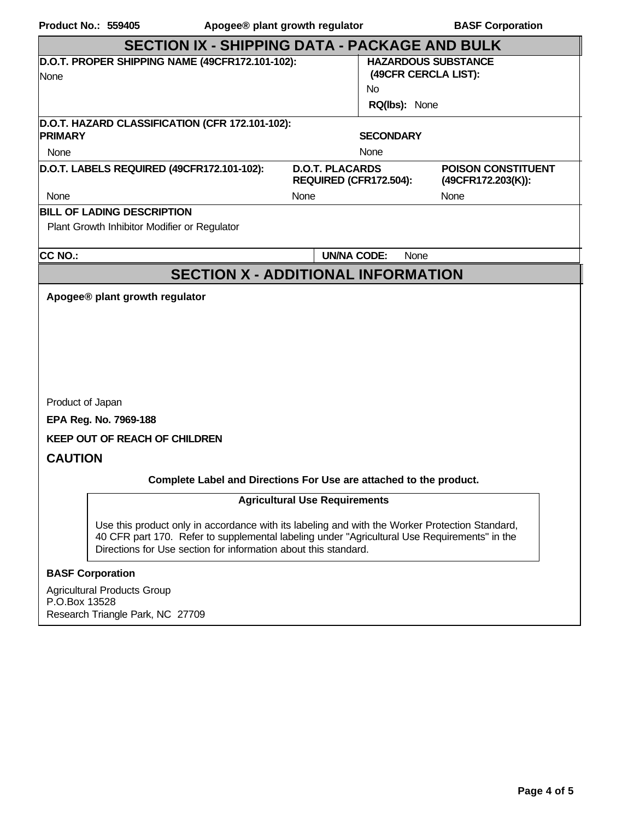| <b>Product No.: 559405</b>                                                        | Apogee® plant growth regulator                   | <b>BASF Corporation</b>                            |  |  |  |  |  |  |  |
|-----------------------------------------------------------------------------------|--------------------------------------------------|----------------------------------------------------|--|--|--|--|--|--|--|
| <b>SECTION IX - SHIPPING DATA - PACKAGE AND BULK</b>                              |                                                  |                                                    |  |  |  |  |  |  |  |
| D.O.T. PROPER SHIPPING NAME (49CFR172.101-102):<br>None                           |                                                  | <b>HAZARDOUS SUBSTANCE</b><br>(49CFR CERCLA LIST): |  |  |  |  |  |  |  |
|                                                                                   |                                                  | N <sub>0</sub>                                     |  |  |  |  |  |  |  |
|                                                                                   |                                                  | RQ(lbs): None                                      |  |  |  |  |  |  |  |
| D.O.T. HAZARD CLASSIFICATION (CFR 172.101-102):<br><b>PRIMARY</b>                 |                                                  | <b>SECONDARY</b>                                   |  |  |  |  |  |  |  |
| <b>None</b>                                                                       |                                                  | None                                               |  |  |  |  |  |  |  |
| D.O.T. LABELS REQUIRED (49CFR172.101-102):                                        | <b>D.O.T. PLACARDS</b><br>REQUIRED (CFR172.504): | <b>POISON CONSTITUENT</b><br>(49CFR172.203(K)):    |  |  |  |  |  |  |  |
| None                                                                              | None                                             | None                                               |  |  |  |  |  |  |  |
| <b>BILL OF LADING DESCRIPTION</b><br>Plant Growth Inhibitor Modifier or Regulator |                                                  |                                                    |  |  |  |  |  |  |  |
| <b>CC NO.:</b>                                                                    | <b>UN/NA CODE:</b>                               | None                                               |  |  |  |  |  |  |  |
|                                                                                   | <b>SECTION X - ADDITIONAL INFORMATION</b>        |                                                    |  |  |  |  |  |  |  |
| Apogee® plant growth regulator                                                    |                                                  |                                                    |  |  |  |  |  |  |  |
|                                                                                   |                                                  |                                                    |  |  |  |  |  |  |  |
|                                                                                   |                                                  |                                                    |  |  |  |  |  |  |  |
|                                                                                   |                                                  |                                                    |  |  |  |  |  |  |  |
|                                                                                   |                                                  |                                                    |  |  |  |  |  |  |  |
| Product of Japan                                                                  |                                                  |                                                    |  |  |  |  |  |  |  |
| EPA Reg. No. 7969-188                                                             |                                                  |                                                    |  |  |  |  |  |  |  |
| <b>KEEP OUT OF REACH OF CHILDREN</b>                                              |                                                  |                                                    |  |  |  |  |  |  |  |

**CAUTION**

### **Complete Label and Directions For Use are attached to the product.**

### **Agricultural Use Requirements**

Use this product only in accordance with its labeling and with the Worker Protection Standard, 40 CFR part 170. Refer to supplemental labeling under "Agricultural Use Requirements" in the Directions for Use section for information about this standard.

### **BASF Corporation**

Agricultural Products Group P.O.Box 13528 Research Triangle Park, NC 27709